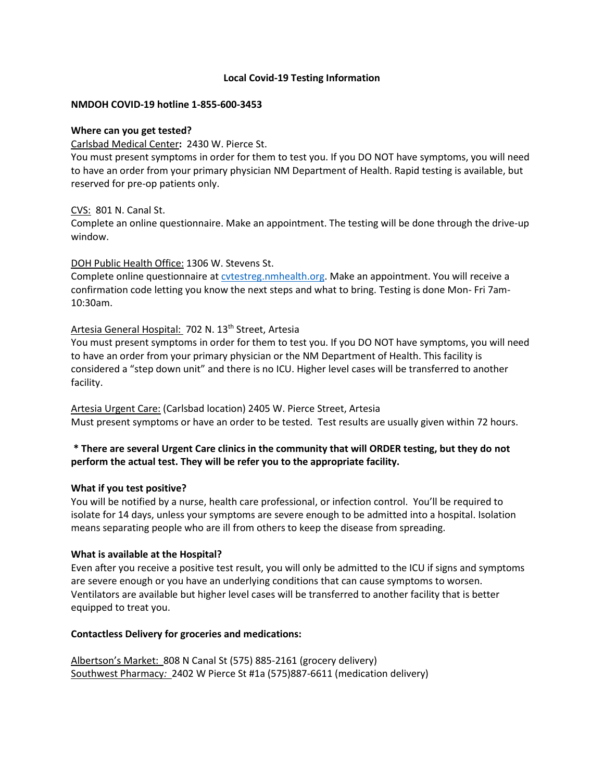## **Local Covid-19 Testing Information**

### **NMDOH COVID-19 hotline 1-855-600-3453**

### **Where can you get tested?**

Carlsbad Medical Center**:** 2430 W. Pierce St.

You must present symptoms in order for them to test you. If you DO NOT have symptoms, you will need to have an order from your primary physician NM Department of Health. Rapid testing is available, but reserved for pre-op patients only.

CVS: 801 N. Canal St.

Complete an online questionnaire. Make an appointment. The testing will be done through the drive-up window.

DOH Public Health Office: 1306 W. Stevens St.

Complete online questionnaire at [cvtestreg.nmhealth.org.](mailto:cvtestreg.nmhealth.org) Make an appointment. You will receive a confirmation code letting you know the next steps and what to bring. Testing is done Mon- Fri 7am-10:30am.

## Artesia General Hospital: 702 N. 13<sup>th</sup> Street, Artesia

You must present symptoms in order for them to test you. If you DO NOT have symptoms, you will need to have an order from your primary physician or the NM Department of Health. This facility is considered a "step down unit" and there is no ICU. Higher level cases will be transferred to another facility.

Artesia Urgent Care: (Carlsbad location) 2405 W. Pierce Street, Artesia Must present symptoms or have an order to be tested. Test results are usually given within 72 hours.

# **\* There are several Urgent Care clinics in the community that will ORDER testing, but they do not perform the actual test. They will be refer you to the appropriate facility.**

### **What if you test positive?**

You will be notified by a nurse, health care professional, or infection control. You'll be required to isolate for 14 days, unless your symptoms are severe enough to be admitted into a hospital. Isolation means separating people who are ill from others to keep the disease from spreading.

### **What is available at the Hospital?**

Even after you receive a positive test result, you will only be admitted to the ICU if signs and symptoms are severe enough or you have an underlying conditions that can cause symptoms to worsen. Ventilators are available but higher level cases will be transferred to another facility that is better equipped to treat you.

## **Contactless Delivery for groceries and medications:**

Albertson's Market: 808 N Canal St (575) 885-2161 (grocery delivery) Southwest Pharmacy*:* 2402 W Pierce St #1a (575)887-6611 (medication delivery)